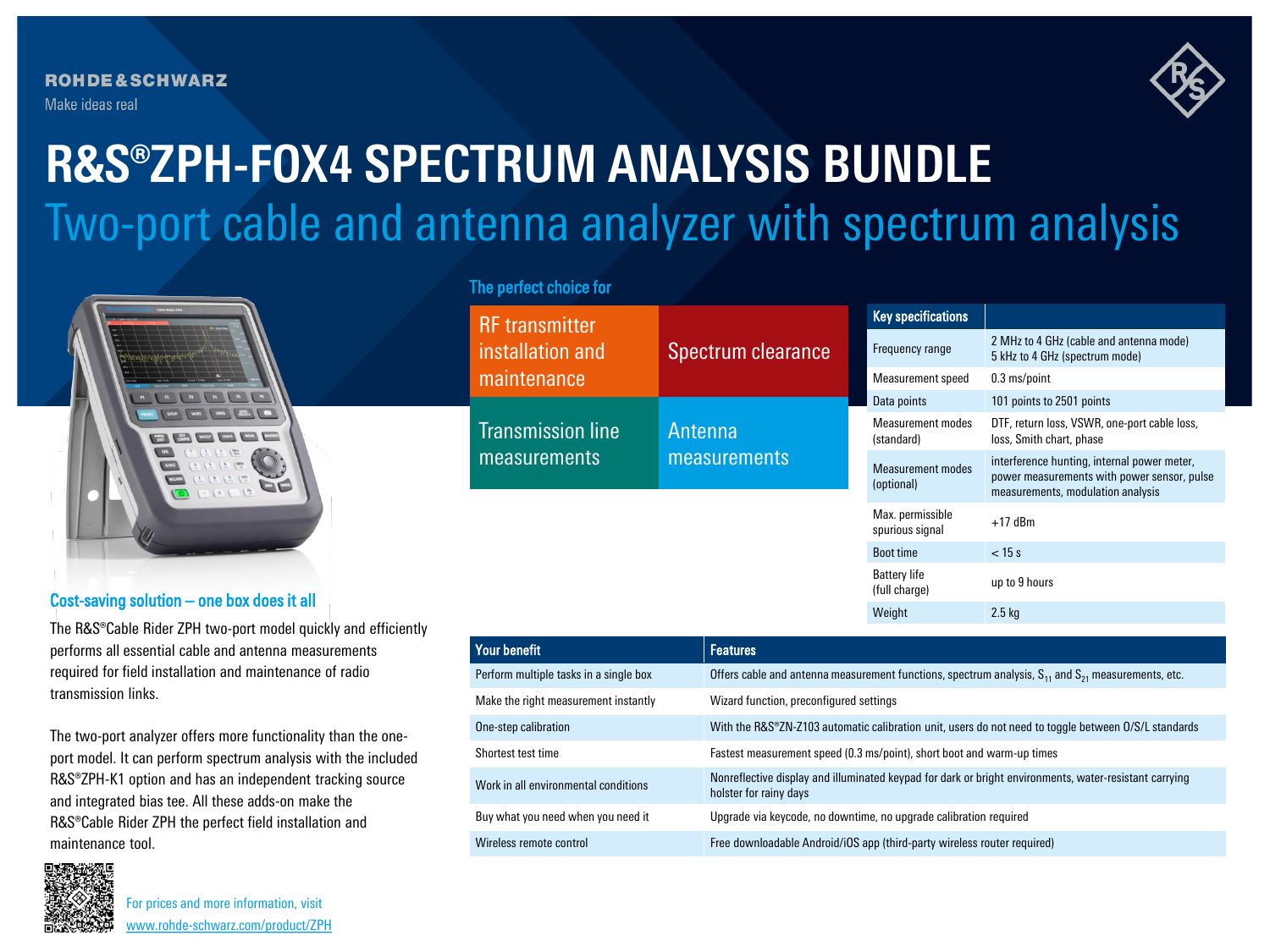**ROHDE&SCHWARZ** Make ideas real



# Two-port cable and antenna analyzer with spectrum analysis **R&S®ZPH-FOX4 SPECTRUM ANALYSIS BUNDLE**



#### Cost-saving solution – one box does it all

The R&S®Cable Rider ZPH two-port model quickly and efficiently performs all essential cable and antenna measurements required for field installation and maintenance of radio transmission links.

The two-port analyzer offers more functionality than the oneport model. It can perform spectrum analysis with the included R&S®ZPH-K1 option and has an independent tracking source and integrated bias tee. All these adds-on make the R&S®Cable Rider ZPH the perfect field installation and maintenance tool.



For prices and more information, visit [www.rohde-schwarz.com/product/ZPH](http://www.rohde-schwarz.com/product/ZPH?cid=744_com_qr_190_Marcom_20-03_i__Factsheet_printmag_text-ad___Web_)

### The perfect choice for

| <b>RF</b> transmitter<br>installation and<br>maintenance | Spectrum clearance             | <b>Key specifications</b>              |                                                                                                                                 |
|----------------------------------------------------------|--------------------------------|----------------------------------------|---------------------------------------------------------------------------------------------------------------------------------|
|                                                          |                                | Frequency range                        | 2 MHz to 4 GHz (cable and antenna mode)<br>5 kHz to 4 GHz (spectrum mode)                                                       |
|                                                          |                                | Measurement speed                      | 0.3 ms/point                                                                                                                    |
| <b>Transmission line</b><br>measurements                 | <b>Antenna</b><br>measurements | Data points                            | 101 points to 2501 points                                                                                                       |
|                                                          |                                | <b>Measurement modes</b><br>(standard) | DTF, return loss, VSWR, one-port cable loss,<br>loss, Smith chart, phase                                                        |
|                                                          |                                | Measurement modes<br>(optional)        | interference hunting, internal power meter,<br>power measurements with power sensor, pulse<br>measurements, modulation analysis |
|                                                          |                                | Max. permissible<br>spurious signal    | $+17$ dBm                                                                                                                       |
|                                                          |                                | <b>Boot time</b>                       | $<$ 15 s                                                                                                                        |
|                                                          |                                | <b>Battery life</b><br>(full charge)   | up to 9 hours                                                                                                                   |
|                                                          |                                | Weight                                 | 2.5 <sub>kq</sub>                                                                                                               |

| Your benefit                           | <b>Features</b>                                                                                                                  |
|----------------------------------------|----------------------------------------------------------------------------------------------------------------------------------|
| Perform multiple tasks in a single box | Offers cable and antenna measurement functions, spectrum analysis, $S_{11}$ and $S_{21}$ measurements, etc.                      |
| Make the right measurement instantly   | Wizard function, preconfigured settings                                                                                          |
| One-step calibration                   | With the R&S®ZN-Z103 automatic calibration unit, users do not need to toggle between O/S/L standards                             |
| Shortest test time                     | Fastest measurement speed (0.3 ms/point), short boot and warm-up times                                                           |
| Work in all environmental conditions   | Nonreflective display and illuminated keypad for dark or bright environments, water-resistant carrying<br>holster for rainy days |
| Buy what you need when you need it     | Upgrade via keycode, no downtime, no upgrade calibration required                                                                |
| Wireless remote control                | Free downloadable Android/iOS app (third-party wireless router required)                                                         |